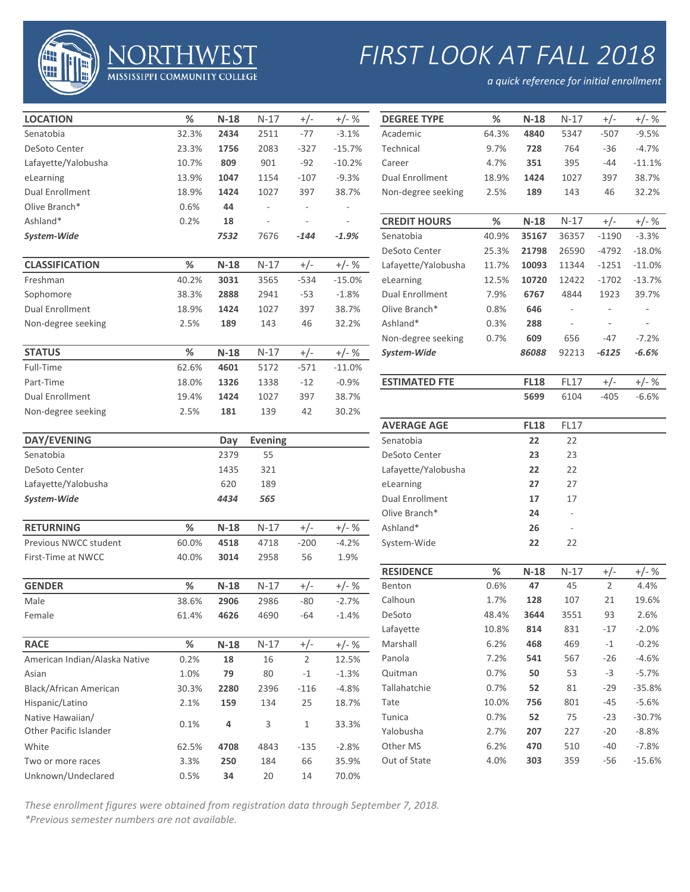

## *FIRST LOOK AT FALL 2018*

*a quick reference for initial enrollment*

| <b>LOCATION</b>               | $\%$  | $N-18$ | $N-17$         | $+/-$                    | $+/- %$                  | <b>DEGREE TYPE</b>     | $\%$  | $N-18$      | $N-17$                   | $+/-$                    | $+/- %$  |
|-------------------------------|-------|--------|----------------|--------------------------|--------------------------|------------------------|-------|-------------|--------------------------|--------------------------|----------|
| Senatobia                     | 32.3% | 2434   | 2511           | $-77$                    | $-3.1%$                  | Academic               | 64.3% | 4840        | 5347                     | $-507$                   | $-9.5%$  |
| DeSoto Center                 | 23.3% | 1756   | 2083           | $-327$                   | $-15.7%$                 | Technical              | 9.7%  | 728         | 764                      | $-36$                    | $-4.7%$  |
| Lafayette/Yalobusha           | 10.7% | 809    | 901            | $-92$                    | $-10.2%$                 | Career                 | 4.7%  | 351         | 395                      | -44                      | $-11.1%$ |
| eLearning                     | 13.9% | 1047   | 1154           | $-107$                   | $-9.3%$                  | <b>Dual Enrollment</b> | 18.9% | 1424        | 1027                     | 397                      | 38.7%    |
| <b>Dual Enrollment</b>        | 18.9% | 1424   | 1027           | 397                      | 38.7%                    | Non-degree seeking     | 2.5%  | 189         | 143                      | 46                       | 32.2%    |
| Olive Branch*                 | 0.6%  | 44     |                | $\overline{\phantom{a}}$ |                          |                        |       |             |                          |                          |          |
| Ashland*                      | 0.2%  | 18     | $\overline{a}$ | $\overline{\phantom{a}}$ | $\overline{\phantom{a}}$ | <b>CREDIT HOURS</b>    | $\%$  | $N-18$      | $N-17$                   | $+/-$                    | $+/- %$  |
| System-Wide                   |       | 7532   | 7676           | $-144$                   | $-1.9%$                  | Senatobia              | 40.9% | 35167       | 36357                    | $-1190$                  | $-3.3%$  |
|                               |       |        |                |                          |                          | DeSoto Center          | 25.3% | 21798       | 26590                    | $-4792$                  | $-18.0%$ |
| <b>CLASSIFICATION</b>         | $\%$  | $N-18$ | $N-17$         | $+/-$                    | $+/- %$                  | Lafayette/Yalobusha    | 11.7% | 10093       | 11344                    | $-1251$                  | $-11.0%$ |
| Freshman                      | 40.2% | 3031   | 3565           | $-534$                   | $-15.0%$                 | eLearning              | 12.5% | 10720       | 12422                    | $-1702$                  | $-13.7%$ |
| Sophomore                     | 38.3% | 2888   | 2941           | $-53$                    | $-1.8%$                  | <b>Dual Enrollment</b> | 7.9%  | 6767        | 4844                     | 1923                     | 39.7%    |
| <b>Dual Enrollment</b>        | 18.9% | 1424   | 1027           | 397                      | 38.7%                    | Olive Branch*          | 0.8%  | 646         | $\overline{\phantom{a}}$ |                          |          |
| Non-degree seeking            | 2.5%  | 189    | 143            | 46                       | 32.2%                    | Ashland*               | 0.3%  | 288         | $\overline{\phantom{a}}$ | $\overline{\phantom{a}}$ |          |
|                               |       |        |                |                          |                          | Non-degree seeking     | 0.7%  | 609         | 656                      | -47                      | $-7.2%$  |
| <b>STATUS</b>                 | $\%$  | $N-18$ | $N-17$         | $+/-$                    | $+/- %$                  | System-Wide            |       | 86088       | 92213                    | -6125                    | $-6.6%$  |
| Full-Time                     | 62.6% | 4601   | 5172           | $-571$                   | $-11.0%$                 |                        |       |             |                          |                          |          |
| Part-Time                     | 18.0% | 1326   | 1338           | $-12$                    | $-0.9%$                  | <b>ESTIMATED FTE</b>   |       | <b>FL18</b> | <b>FL17</b>              | $+/-$                    | $+/- %$  |
| <b>Dual Enrollment</b>        | 19.4% | 1424   | 1027           | 397                      | 38.7%                    |                        |       | 5699        | 6104                     | $-405$                   | $-6.6%$  |
| Non-degree seeking            | 2.5%  | 181    | 139            | 42                       | 30.2%                    |                        |       |             |                          |                          |          |
|                               |       |        |                |                          |                          | <b>AVERAGE AGE</b>     |       | <b>FL18</b> | <b>FL17</b>              |                          |          |
| DAY/EVENING                   |       | Day    | <b>Evening</b> |                          |                          | Senatobia              |       | 22          | 22                       |                          |          |
| Senatobia                     |       | 2379   | 55             |                          |                          | DeSoto Center          |       | 23          | 23                       |                          |          |
| DeSoto Center                 |       | 1435   | 321            |                          |                          | Lafayette/Yalobusha    |       | 22          | 22                       |                          |          |
| Lafayette/Yalobusha           |       | 620    | 189            |                          |                          | eLearning              |       | 27          | 27                       |                          |          |
| System-Wide                   |       | 4434   | 565            |                          |                          | <b>Dual Enrollment</b> |       | 17          | 17                       |                          |          |
|                               |       |        |                |                          |                          | Olive Branch*          |       | 24          |                          |                          |          |
| <b>RETURNING</b>              | $\%$  | $N-18$ | $N-17$         | $+/-$                    | $+/- %$                  | Ashland*               |       | 26          |                          |                          |          |
| Previous NWCC student         | 60.0% | 4518   | 4718           | $-200$                   | $-4.2%$                  | System-Wide            |       | 22          | 22                       |                          |          |
| First-Time at NWCC            | 40.0% | 3014   | 2958           | 56                       | 1.9%                     |                        |       |             |                          |                          |          |
|                               |       |        |                |                          |                          | <b>RESIDENCE</b>       | $\%$  | $N-18$      | $N-17$                   | $+/-$                    | $+/-$ %  |
| <b>GENDER</b>                 | $\%$  | $N-18$ | $N-17$         | $+/-$                    | $+/- %$                  | Benton                 | 0.6%  | 47          | 45                       | $\overline{2}$           | 4.4%     |
| Male                          | 38.6% | 2906   | 2986           | $-80$                    | $-2.7%$                  | Calhoun                | 1.7%  | 128         | 107                      | 21                       | 19.6%    |
| Female                        | 61.4% | 4626   | 4690           | $-64$                    | $-1.4%$                  | DeSoto                 | 48.4% | 3644        | 3551                     | 93                       | 2.6%     |
|                               |       |        |                |                          |                          | Lafayette              | 10.8% | 814         | 831                      | $-17$                    | $-2.0%$  |
| <b>RACE</b>                   | $\%$  | $N-18$ | $N-17$         | $+/-$                    | $+/- %$                  | Marshall               | 6.2%  | 468         | 469                      | $-1$                     | $-0.2%$  |
| American Indian/Alaska Native | 0.2%  | 18     | 16             | $\overline{2}$           | 12.5%                    | Panola                 | 7.2%  | 541         | 567                      | $-26$                    | $-4.6%$  |
| Asian                         | 1.0%  | 79     | 80             | $^{\rm -1}$              | $-1.3%$                  | Quitman                | 0.7%  | 50          | 53                       | $-3$                     | $-5.7%$  |
| <b>Black/African American</b> | 30.3% | 2280   | 2396           | $-116$                   | $-4.8%$                  | Tallahatchie           | 0.7%  | 52          | 81                       | $-29$                    | $-35.8%$ |
| Hispanic/Latino               | 2.1%  | 159    | 134            | 25                       | 18.7%                    | Tate                   | 10.0% | 756         | 801                      | $-45$                    | $-5.6%$  |
| Native Hawaiian/              |       |        |                |                          |                          | Tunica                 | 0.7%  | 52          | 75                       | $-23$                    | $-30.7%$ |
| Other Pacific Islander        | 0.1%  | 4      | 3              | $\mathbf{1}$             | 33.3%                    | Yalobusha              | 2.7%  | 207         | 227                      | $-20$                    | $-8.8%$  |
| White                         | 62.5% | 4708   | 4843           | $-135$                   | $-2.8%$                  | Other MS               | 6.2%  | 470         | 510                      | $-40$                    | $-7.8%$  |
| Two or more races             | 3.3%  | 250    | 184            | 66                       | 35.9%                    | Out of State           | 4.0%  | 303         | 359                      | $-56$                    | $-15.6%$ |
| Unknown/Undeclared            | 0.5%  | 34     | 20             | 14                       | 70.0%                    |                        |       |             |                          |                          |          |
|                               |       |        |                |                          |                          |                        |       |             |                          |                          |          |

**MISSISSIPPI COMMUNITY COLLEGE** 

| Technical              | 9.7%  | 728         | 764         | $-36$          | $-4.7%$  |
|------------------------|-------|-------------|-------------|----------------|----------|
| Career                 | 4.7%  | 351         | 395         | $-44$          | $-11.1%$ |
| <b>Dual Enrollment</b> | 18.9% | 1424        | 1027        | 397            | 38.7%    |
| Non-degree seeking     | 2.5%  | 189         | 143         | 46             | 32.2%    |
|                        |       |             |             |                |          |
| <b>CREDIT HOURS</b>    | %     | $N-18$      | $N-17$      | $+/-$          | $+/- %$  |
| Senatobia              | 40.9% | 35167       | 36357       | $-1190$        | $-3.3%$  |
| DeSoto Center          | 25.3% | 21798       | 26590       | $-4792$        | $-18.0%$ |
| Lafayette/Yalobusha    | 11.7% | 10093       | 11344       | $-1251$        | $-11.0%$ |
| eLearning              | 12.5% | 10720       | 12422       | $-1702$        | $-13.7%$ |
| <b>Dual Enrollment</b> | 7.9%  | 6767        | 4844        | 1923           | 39.7%    |
| Olive Branch*          | 0.8%  | 646         |             |                |          |
| Ashland*               | 0.3%  | 288         |             |                |          |
| Non-degree seeking     | 0.7%  | 609         | 656         | $-47$          | $-7.2%$  |
| System-Wide            |       | 86088       | 92213       | -6125          | $-6.6%$  |
|                        |       |             |             |                |          |
|                        |       |             |             |                |          |
| <b>ESTIMATED FTE</b>   |       | <b>FL18</b> | <b>FL17</b> | $+/-$          | $+/- %$  |
|                        |       | 5699        | 6104        | $-405$         | $-6.6%$  |
|                        |       |             |             |                |          |
| <b>AVERAGE AGE</b>     |       | <b>FL18</b> | FL17        |                |          |
| Senatobia              |       | 22          | 22          |                |          |
| DeSoto Center          |       | 23          | 23          |                |          |
| Lafayette/Yalobusha    |       | 22          | 22          |                |          |
| eLearning              |       | 27          | 27          |                |          |
| <b>Dual Enrollment</b> |       | 17          | 17          |                |          |
| Olive Branch*          |       | 24          |             |                |          |
| Ashland*               |       | 26          | ÷,          |                |          |
| System-Wide            |       | 22          | 22          |                |          |
|                        |       |             |             |                |          |
| <b>RESIDENCE</b>       | %     | $N-18$      | $N-17$      | +/-            | +/- %    |
| Benton                 | 0.6%  | 47          | 45          | $\overline{2}$ | 4.4%     |

*These enrollment figures were obtained from registration data through September 7, 2018.*

*\*Previous semester numbers are not available.*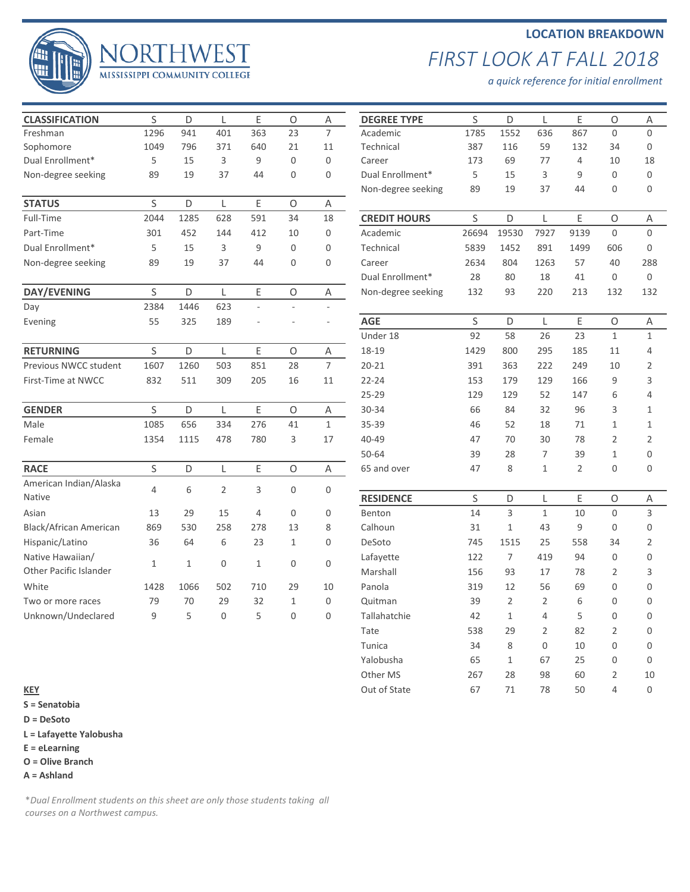## 44 MISSISSIPPI COMMUNITY COLLEGE

## **LOCATION BREAKDOWN** *FIRST LOOK AT FALL 2018*

*a quick reference for initial enrollment*

| <b>CLASSIFICATION</b>  | S              | D            | L              | E            | $\circ$      | Α                | <b>DEGREE TYPE</b>  | S           | D              | L              | E              | $\circ$          | A              |
|------------------------|----------------|--------------|----------------|--------------|--------------|------------------|---------------------|-------------|----------------|----------------|----------------|------------------|----------------|
| Freshman               | 1296           | 941          | 401            | 363          | 23           | $\overline{7}$   | Academic            | 1785        | 1552           | 636            | 867            | $\overline{0}$   | $\mathbf 0$    |
| Sophomore              | 1049           | 796          | 371            | 640          | 21           | 11               | Technical           | 387         | 116            | 59             | 132            | 34               | $\mathbf 0$    |
| Dual Enrollment*       | 5              | 15           | 3              | 9            | $\Omega$     | $\overline{0}$   | Career              | 173         | 69             | 77             | $\overline{4}$ | 10               | 18             |
| Non-degree seeking     | 89             | 19           | 37             | 44           | 0            | $\overline{0}$   | Dual Enrollment*    | 5           | 15             | 3              | 9              | $\mathbf 0$      | $\mathbf 0$    |
|                        |                |              |                |              |              |                  | Non-degree seeking  | 89          | 19             | 37             | 44             | $\mathbf 0$      | $\mathbf 0$    |
| <b>STATUS</b>          | $\mathsf{S}$   | D            | L              | E            | $\circ$      | Α                |                     |             |                |                |                |                  |                |
| Full-Time              | 2044           | 1285         | 628            | 591          | 34           | 18               | <b>CREDIT HOURS</b> | S           | D              | L              | E              | $\circ$          | Α              |
| Part-Time              | 301            | 452          | 144            | 412          | 10           | $\mathbf 0$      | Academic            | 26694       | 19530          | 7927           | 9139           | $\mathbf{0}$     | $\mathbf 0$    |
| Dual Enrollment*       | 5              | 15           | 3              | 9            | $\mathbf 0$  | $\mathbf{0}$     | Technical           | 5839        | 1452           | 891            | 1499           | 606              | 0              |
| Non-degree seeking     | 89             | 19           | 37             | 44           | 0            | $\mathbf{0}$     | Career              | 2634        | 804            | 1263           | 57             | 40               | 288            |
|                        |                |              |                |              |              |                  | Dual Enrollment*    | 28          | 80             | 18             | 41             | $\mathbf{0}$     | $\mathbf{0}$   |
| <b>DAY/EVENING</b>     | S              | D            | L              | E            | $\circ$      | Α                | Non-degree seeking  | 132         | 93             | 220            | 213            | 132              | 132            |
| Day                    | 2384           | 1446         | 623            | ÷.           | ×.           |                  |                     |             |                |                |                |                  |                |
| Evening                | 55             | 325          | 189            |              |              | ٠                | <b>AGE</b>          | S           | D              | L              | E              | $\circ$          | A              |
|                        |                |              |                |              |              |                  | Under 18            | 92          | 58             | 26             | 23             | $\mathbf{1}$     | $\mathbf{1}$   |
| <b>RETURNING</b>       | S              | D            | L              | E            | $\circ$      | Α                | 18-19               | 1429        | 800            | 295            | 185            | 11               | $\overline{4}$ |
| Previous NWCC student  | 1607           | 1260         | 503            | 851          | 28           | $\overline{7}$   | $20 - 21$           | 391         | 363            | 222            | 249            | 10               | $\overline{2}$ |
| First-Time at NWCC     | 832            | 511          | 309            | 205          | 16           | 11               | $22 - 24$           | 153         | 179            | 129            | 166            | 9                | 3              |
|                        |                |              |                |              |              |                  | $25 - 29$           | 129         | 129            | 52             | 147            | 6                | $\overline{4}$ |
| <b>GENDER</b>          | S              | D            | L              | E            | $\mathsf O$  | Α                | $30 - 34$           | 66          | 84             | 32             | 96             | 3                | $\mathbf{1}$   |
| Male                   | 1085           | 656          | 334            | 276          | 41           | $\mathbf{1}$     | 35-39               | 46          | 52             | 18             | 71             | $\mathbf{1}$     | 1              |
| Female                 | 1354           | 1115         | 478            | 780          | 3            | 17               | 40-49               | 47          | 70             | 30             | 78             | $\overline{2}$   | $\overline{2}$ |
|                        |                |              |                |              |              |                  | $50 - 64$           | 39          | 28             | 7              | 39             | $\mathbf{1}$     | $\mathbf 0$    |
| <b>RACE</b>            | S              | D            | L              | E            | $\circ$      | $\mathsf A$      | 65 and over         | 47          | 8              | $\mathbf{1}$   | 2              | $\mathbf 0$      | $\mathbf 0$    |
| American Indian/Alaska | $\overline{4}$ |              |                |              |              |                  |                     |             |                |                |                |                  |                |
| <b>Native</b>          |                | 6            | $\overline{2}$ | 3            | 0            | $\boldsymbol{0}$ | <b>RESIDENCE</b>    | $\mathsf S$ | D              | L              | Ε              | O                | Α              |
| Asian                  | 13             | 29           | 15             | 4            | 0            | $\mathbf 0$      | Benton              | 14          | 3              | $\mathbf{1}$   | 10             | $\mathbf 0$      | 3              |
| Black/African American | 869            | 530          | 258            | 278          | 13           | 8                | Calhoun             | 31          | $\mathbf{1}$   | 43             | 9              | $\mathbf 0$      | $\mathbf 0$    |
| Hispanic/Latino        | 36             | 64           | 6              | 23           | $\mathbf{1}$ | $\mathbf{0}$     | DeSoto              | 745         | 1515           | 25             | 558            | 34               | $\overline{2}$ |
| Native Hawaiian/       |                |              |                |              |              |                  | Lafayette           | 122         | $\overline{7}$ | 419            | 94             | $\mathbf{0}$     | 0              |
| Other Pacific Islander | $\mathbf{1}$   | $\mathbf{1}$ | $\mathbf 0$    | $\mathbf{1}$ | 0            | $\mathbf 0$      | Marshall            | 156         | 93             | 17             | 78             | $\overline{2}$   | 3              |
| White                  | 1428           | 1066         | 502            | 710          | 29           | 10               | Panola              | 319         | 12             | 56             | 69             | $\overline{0}$   | $\mathbf 0$    |
| Two or more races      | 79             | 70           | 29             | 32           | $\mathbf{1}$ | $\mathbf 0$      | Quitman             | 39          | $\overline{2}$ | $\overline{2}$ | 6              | $\boldsymbol{0}$ | $\mathbf 0$    |
| Unknown/Undeclared     | 9              | 5            | $\overline{0}$ | 5            | $\mathbf 0$  | $\mathbf{0}$     | Tallahatchie        | 42          | $\mathbf{1}$   | 4              | 5              | $\overline{0}$   | $\mathbf 0$    |
|                        |                |              |                |              |              |                  |                     |             |                |                |                |                  |                |

**EST** 

| <b>CLASSIFICATION</b>         | S           | D    | L            | E   | O                | A              | <b>DEGREE TYPE</b>  | S     | D            | L    | Ε              | O            | Α              |
|-------------------------------|-------------|------|--------------|-----|------------------|----------------|---------------------|-------|--------------|------|----------------|--------------|----------------|
| Freshman                      | 1296        | 941  | 401          | 363 | 23               | $\overline{7}$ | Academic            | 1785  | 1552         | 636  | 867            | $\mathbf 0$  | $\mathbf 0$    |
| Sophomore                     | 1049        | 796  | 371          | 640 | 21               | 11             | Technical           | 387   | 116          | 59   | 132            | 34           | 0              |
| Dual Enrollment*              | 5           | 15   | 3            | 9   | $\mathbf 0$      | $\mathbf 0$    | Career              | 173   | 69           | 77   | 4              | 10           | 18             |
| Non-degree seeking            | 89          | 19   | 37           | 44  | 0                | $\mathbf{0}$   | Dual Enrollment*    | 5     | 15           | 3    | 9              | $\mathbf{0}$ | $\mathbf{0}$   |
|                               |             |      |              |     |                  |                | Non-degree seeking  | 89    | 19           | 37   | 44             | $\mathbf{0}$ | $\mathbf 0$    |
| <b>STATUS</b>                 | S           | D    | L            | Ε   | O                | Α              |                     |       |              |      |                |              |                |
| Full-Time                     | 2044        | 1285 | 628          | 591 | 34               | 18             | <b>CREDIT HOURS</b> | S     | D            | L    | E              | O            | Α              |
| Part-Time                     | 301         | 452  | 144          | 412 | 10               | 0              | Academic            | 26694 | 19530        | 7927 | 9139           | $\mathbf{0}$ | $\mathbf 0$    |
| Dual Enrollment*              | 5           | 15   | 3            | 9   | 0                | $\mathbf 0$    | Technical           | 5839  | 1452         | 891  | 1499           | 606          | 0              |
| Non-degree seeking            | 89          | 19   | 37           | 44  | 0                | 0              | Career              | 2634  | 804          | 1263 | 57             | 40           | 288            |
|                               |             |      |              |     |                  |                | Dual Enrollment*    | 28    | 80           | 18   | 41             | 0            | $\mathbf 0$    |
| DAY/EVENING                   | S           | D    | L            | Ε   | O                | Α              | Non-degree seeking  | 132   | 93           | 220  | 213            | 132          | 132            |
| Day                           | 2384        | 1446 | 623          |     |                  |                |                     |       |              |      |                |              |                |
| Evening                       | 55          | 325  | 189          |     |                  |                | <b>AGE</b>          | S     | D            | L    | Ε              | O            | Α              |
|                               |             |      |              |     |                  |                | Under 18            | 92    | 58           | 26   | 23             | $\mathbf{1}$ | $\mathbf{1}$   |
| <b>RETURNING</b>              | $\sf S$     | D    | L            | Ε   | O                | Α              | 18-19               | 1429  | 800          | 295  | 185            | 11           | 4              |
| Previous NWCC student         | 1607        | 1260 | 503          | 851 | 28               | $\overline{7}$ | $20 - 21$           | 391   | 363          | 222  | 249            | 10           | 2              |
| First-Time at NWCC            | 832         | 511  | 309          | 205 | 16               | 11             | $22 - 24$           | 153   | 179          | 129  | 166            | 9            | 3              |
|                               |             |      |              |     |                  |                | $25 - 29$           | 129   | 129          | 52   | 147            | 6            | 4              |
| <b>GENDER</b>                 | S           | D    | L            | E   | $\circ$          | Α              | 30-34               | 66    | 84           | 32   | 96             | 3            | 1              |
| Male                          | 1085        | 656  | 334          | 276 | 41               | $\mathbf{1}$   | 35-39               | 46    | 52           | 18   | 71             | 1            | 1              |
| Female                        | 1354        | 1115 | 478          | 780 | 3                | 17             | 40-49               | 47    | 70           | 30   | 78             | 2            | 2              |
|                               |             |      |              |     |                  |                | $50 - 64$           | 39    | 28           | 7    | 39             | 1            | $\mathbf 0$    |
| <b>RACE</b>                   | $\mathsf S$ | D    | L            | Ε   | O                | Α              | 65 and over         | 47    | 8            | 1    | $\overline{2}$ | $\mathbf 0$  | $\Omega$       |
| American Indian/Alaska        | 4           | 6    | 2            | 3   | $\boldsymbol{0}$ | $\mathbf 0$    |                     |       |              |      |                |              |                |
| Native                        |             |      |              |     |                  |                | <b>RESIDENCE</b>    | S     | D            | L    | Ε              | O            | Α              |
| Asian                         | 13          | 29   | 15           | 4   | $\mathbf{0}$     | $\mathbf 0$    | Benton              | 14    | 3            | 1    | 10             | $\mathbf{0}$ | 3              |
| <b>Black/African American</b> | 869         | 530  | 258          | 278 | 13               | 8              | Calhoun             | 31    | $\mathbf{1}$ | 43   | 9              | $\mathbf{0}$ | $\mathbf 0$    |
| Hispanic/Latino               | 36          | 64   | 6            | 23  | 1                | $\mathbf{0}$   | DeSoto              | 745   | 1515         | 25   | 558            | 34           | $\overline{2}$ |
| Native Hawaiian/              |             |      |              |     |                  |                | Lafayette           | 122   | 7            | 419  | 94             | $\mathbf{0}$ | 0              |
| Other Pacific Islander        | 1           | 1    | $\mathbf{0}$ | 1   | $\mathbf{0}$     | $\mathbf 0$    | Marshall            | 156   | 93           | 17   | 78             | 2            | 3              |
| White                         | 1428        | 1066 | 502          | 710 | 29               | 10             | Panola              | 319   | 12           | 56   | 69             | $\mathbf{0}$ | 0              |
| Two or more races             | 79          | 70   | 29           | 32  | 1                | 0              | Quitman             | 39    | 2            | 2    | 6              | 0            | $\Omega$       |
| Unknown/Undeclared            | 9           | 5    | 0            | 5   | 0                | $\mathbf 0$    | Tallahatchie        | 42    | 1            | 4    | 5              | $\mathbf 0$  | $\mathbf 0$    |
|                               |             |      |              |     |                  |                | Tate                | 538   | 29           | 2    | 82             | 2            | 0              |
|                               |             |      |              |     |                  |                | Tunica              | 34    | 8            | 0    | 10             | 0            | 0              |
|                               |             |      |              |     |                  |                | Yalobusha           | 65    | $\mathbf{1}$ | 67   | 25             | 0            | 0              |
|                               |             |      |              |     |                  |                | Other MS            | 267   | 28           | 98   | 60             | 2            | 10             |
| <u>KEY</u>                    |             |      |              |     |                  |                | Out of State        | 67    | $71$         | 78   | 50             | 4            | $\mathbf 0$    |
|                               |             |      |              |     |                  |                |                     |       |              |      |                |              |                |

- **S = Senatobia**
- **D = DeSoto**
- **L = Lafayette Yalobusha**
- **E = eLearning**
- **O = Olive Branch**
- **A = Ashland**

\**Dual Enrollment students on this sheet are only those students taking all courses on a Northwest campus.*